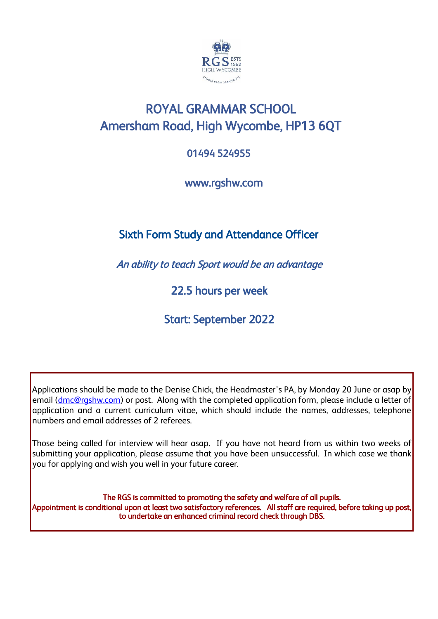

# ROYAL GRAMMAR SCHOOL Amersham Road, High Wycombe, HP13 6QT

## 01494 524955 Ĭ

www.rgshw.com

## Sixth Form Study and Attendance Officer

An ability to teach Sport would be an advantage

22.5 hours per week

Start: September 2022

Applications should be made to the Denise Chick, the Headmaster's PA, by Monday 20 June or asap by email (dmc@rgshw.com) or post. Along with the completed application form, please include a letter of application and a current curriculum vitae, which should include the names, addresses, telephone numbers and email addresses of 2 referees.

Those being called for interview will hear asap. If you have not heard from us within two weeks of submitting your application, please assume that you have been unsuccessful. In which case we thank you for applying and wish you well in your future career.

The RGS is committed to promoting the safety and welfare of all pupils. Appointment is conditional upon at least two satisfactory references. All staff are required, before taking up post, to undertake an enhanced criminal record check through DBS.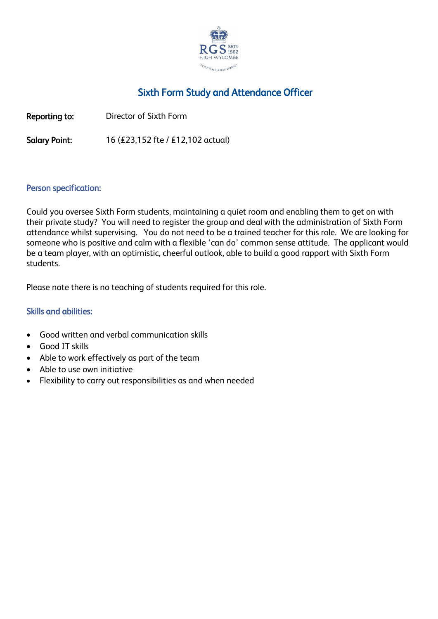

## Sixth Form Study and Attendance Officer

Reporting to: Director of Sixth Form

Salary Point: 16 (£23,152 fte / £12,102 actual)

#### Person specification:

Could you oversee Sixth Form students, maintaining a quiet room and enabling them to get on with their private study? You will need to register the group and deal with the administration of Sixth Form attendance whilst supervising. You do not need to be a trained teacher for this role. We are looking for someone who is positive and calm with a flexible 'can do' common sense attitude. The applicant would be a team player, with an optimistic, cheerful outlook, able to build a good rapport with Sixth Form students.

Please note there is no teaching of students required for this role.

### Skills and abilities:

- Good written and verbal communication skills
- Good IT skills
- Able to work effectively as part of the team
- Able to use own initiative
- Flexibility to carry out responsibilities as and when needed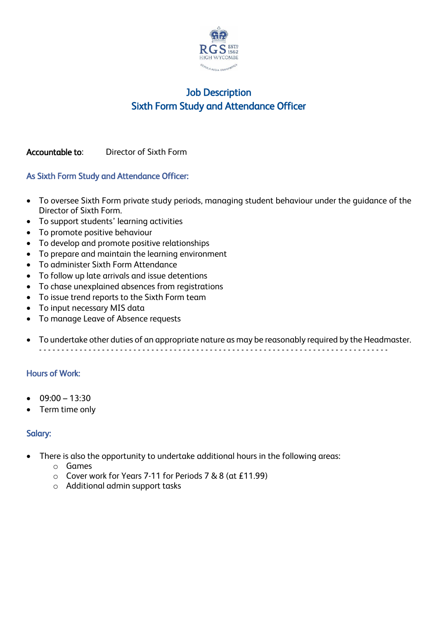

## Job Description Sixth Form Study and Attendance Officer

### Accountable to: Director of Sixth Form

### As Sixth Form Study and Attendance Officer:

- To oversee Sixth Form private study periods, managing student behaviour under the guidance of the Director of Sixth Form.
- To support students' learning activities
- To promote positive behaviour
- To develop and promote positive relationships
- To prepare and maintain the learning environment
- To administer Sixth Form Attendance
- To follow up late arrivals and issue detentions
- To chase unexplained absences from registrations
- To issue trend reports to the Sixth Form team
- To input necessary MIS data
- To manage Leave of Absence requests
- To undertake other duties of an appropriate nature as may be reasonably required by the Headmaster. - - - - - - - - - - - - - - - - - - - - - - - - - - - - - - - - - - - - - - - - - - - - - - - - - - - - - - - - - - - - - - - - - - - - - - - - - - - - - -

### Hours of Work:

- $09:00 13:30$
- Term time only

### Salary:

- There is also the opportunity to undertake additional hours in the following areas:
	- o Games
	- o Cover work for Years 7-11 for Periods 7 & 8 (at £11.99)
	- o Additional admin support tasks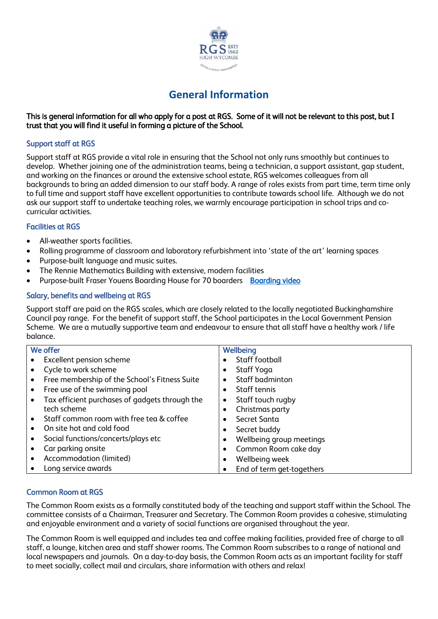

## **General Information**

#### This is general information for all who apply for a post at RGS. Some of it will not be relevant to this post, but I trust that you will find it useful in forming a picture of the School.

#### Support staff at RGS

Support staff at RGS provide a vital role in ensuring that the School not only runs smoothly but continues to develop. Whether joining one of the administration teams, being a technician, a support assistant, gap student, and working on the finances or around the extensive school estate, RGS welcomes colleagues from all backgrounds to bring an added dimension to our staff body. A range of roles exists from part time, term time only to full time and support staff have excellent opportunities to contribute towards school life. Although we do not ask our support staff to undertake teaching roles, we warmly encourage participation in school trips and cocurricular activities.

#### Facilities at RGS

- All-weather sports facilities.
- Rolling programme of classroom and laboratory refurbishment into 'state of the art' learning spaces
- Purpose-built language and music suites.
- The Rennie Mathematics Building with extensive, modern facilities
- Purpose-built Fraser Youens Boarding House for 70 boarders [Boarding video](https://youtu.be/j5Wnf2ed1f0)

#### Salary, benefits and wellbeing at RGS

Support staff are paid on the RGS scales, which are closely related to the locally negotiated Buckinghamshire Council pay range. For the benefit of support staff, the School participates in the Local Government Pension Scheme. We are a mutually supportive team and endeavour to ensure that all staff have a healthy work / life balance.

| We offer                 |                                                |           | Wellbeing                 |  |
|--------------------------|------------------------------------------------|-----------|---------------------------|--|
| Excellent pension scheme |                                                |           | Staff football            |  |
|                          | Cycle to work scheme                           |           | Staff Yoga                |  |
| $\bullet$                | Free membership of the School's Fitness Suite  |           | Staff badminton           |  |
| $\bullet$                | Free use of the swimming pool                  | ٠         | Staff tennis              |  |
| $\bullet$                | Tax efficient purchases of gadgets through the | ٠         | Staff touch rugby         |  |
| tech scheme              |                                                |           | Christmas party           |  |
|                          | Staff common room with free tea & coffee       |           | Secret Santa              |  |
|                          | On site hot and cold food                      | ٠         | Secret buddy              |  |
|                          | Social functions/concerts/plays etc            | $\bullet$ | Wellbeing group meetings  |  |
| Car parking onsite       |                                                |           | Common Room cake day      |  |
|                          | Accommodation (limited)                        | $\bullet$ | Wellbeing week            |  |
|                          | Long service awards                            | ٠         | End of term get-togethers |  |

#### Common Room at RGS

The Common Room exists as a formally constituted body of the teaching and support staff within the School. The committee consists of a Chairman, Treasurer and Secretary. The Common Room provides a cohesive, stimulating and enjoyable environment and a variety of social functions are organised throughout the year.

The Common Room is well equipped and includes tea and coffee making facilities, provided free of charge to all staff, a lounge, kitchen area and staff shower rooms. The Common Room subscribes to a range of national and local newspapers and journals. On a day-to-day basis, the Common Room acts as an important facility for staff to meet socially, collect mail and circulars, share information with others and relax!